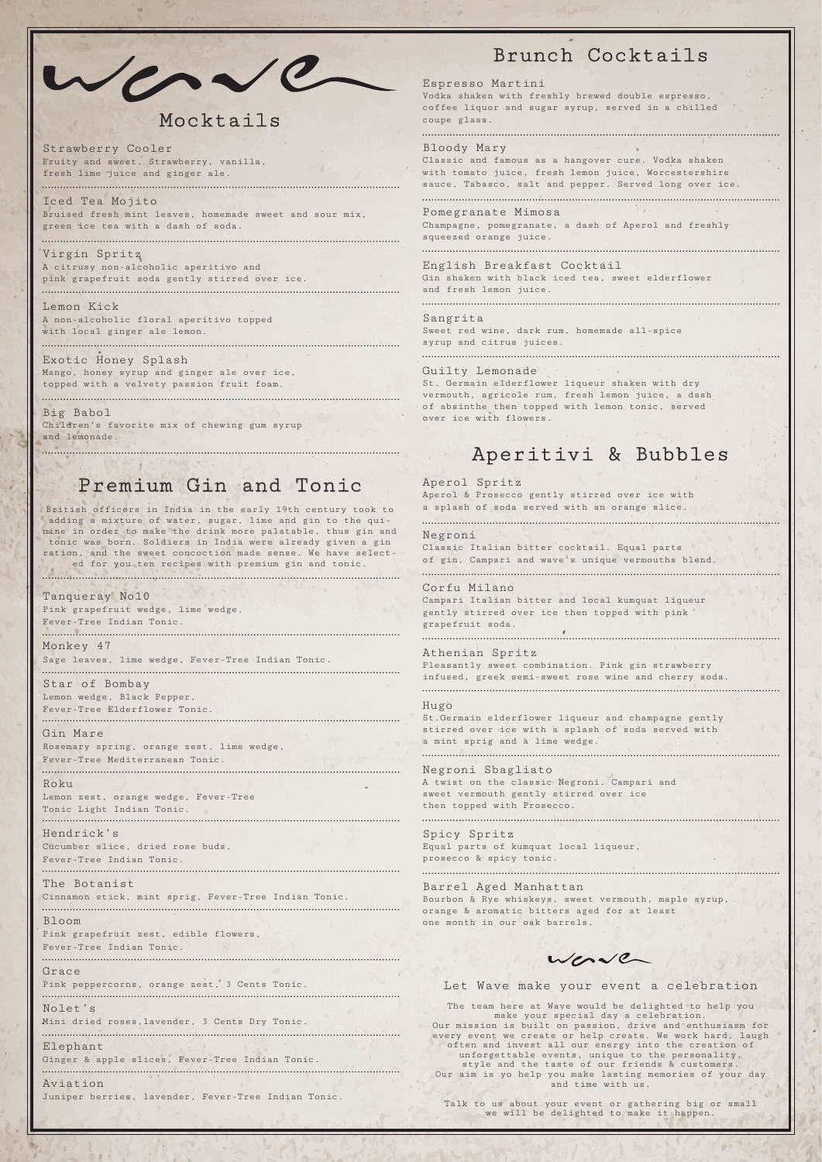

# Mocktails

### Premium Gin and Tonic

Strawberry Cooler Fruity and sweet. Strawberry, vanilla, fresh lime juice and ginger ale.

Iced Tea Mojito Bruised fresh mint leaves, homemade sweet and sour mix, green ice tea with a dash of soda.

### Virgin Spritz A citrusy non-alcoholic aperitivo and

pink grapefruit soda gently stirred over ice. 

#### Lemon Kick

A non-alcoholic floral aperitivo topped with local ginger ale lemon.

Exotic Honey Splash Mango, honey syrup and ginger ale over ice, topped with a velvety passion fruit foam.

#### Big Babol

Children's favorite mix of chewing gum syrup and lemonade.

# Brunch Cocktails

### Espresso Martini

Vodka shaken with freshly brewed double espresso, coffee liquor and sugar syrup, served in a chilled coupe glass.

#### Bloody Mary

Classic and famous as a hangover cure. Vodka shaken with tomato juice, fresh lemon juice, Worcestershire sauce, Tabasco, salt and pepper. Served long over ice.

#### Pomegranate Mimosa

Champagne, pomegranate, a dash of Aperol and freshly squeezed orange juice.

#### English Breakfast Cocktail

Gin shaken with black iced tea, sweet elderflower and fresh lemon juice.

#### Sangrita

Sweet red wine, dark rum, homemade all-spice syrup and citrus juices.

#### Guilty Lemonade

St. Germain elderflower liqueur shaken with dry vermouth, agricole rum, fresh lemon juice, a dash of absinthe then topped with lemon tonic, served over ice with flowers.

#### Aperol Spritz

Aperol & Prosecco gently stirred over ice with a splash of soda served with an orange slice.

#### Negroni

Classic Italian bitter cocktail. Equal parts of gin, Campari and wave's unique vermouths blend.

#### Corfu Milano

Campari Italian bitter and local kumquat liqueur gently stirred over ice then topped with pink grapefruit soda.

#### Athenian Spritz

Pleasantly sweet combination. Pink gin strawberry infused, greek semi-sweet rose wine and cherry soda. 

worve Let Wave make your event a celebration The team here at Wave would be delighted to help you

#### Hugo

St.Germain elderflower liqueur and champagne gently stirred over ice with a splash of soda served with a mint sprig and a lime wedge.

#### Negroni Sbagliato

A twist on the classic Negroni. Campari and sweet vermouth gently stirred over ice then topped with Prosecco.

#### Spicy Spritz

Equal parts of kumquat local liqueur, prosecco & spicy tonic.

## Aperitivi & Bubbles

#### Tanqueray No10

Pink grapefruit wedge, lime wedge, Fever-Tree Indian Tonic.

Monkey 47 Sage leaves, lime wedge, Fever-Tree Indian Tonic.

Star of Bombay Lemon wedge, Black Pepper,

Fever-Tree Elderflower Tonic.

#### Gin Mare

Rosemary spring, orange zest, lime wedge, Fever-Tree Mediterranean Tonic.

#### Roku

Lemon zest, orange wedge, Fever-Tree Tonic Light Indian Tonic.

#### Hendrick's

Cucumber slice, dried rose buds, Fever-Tree Indian Tonic. 

The Botanist Barrel Aged Manhattan Cinnamon stick, mint sprig, Fever-Tree Indian Tonic. Bourbon & Rye whiskeys, sweet vermouth, maple syrup, orange & aromatic bitters aged for at least Bloom one month in our oak barrels. Pink grapefruit zest, edible flowers, Fever-Tree Indian Tonic. Grace Pink peppercorns, orange zest, 3 Cents Tonic. Nolet's Mini dried roses,lavender, 3 Cents Dry Tonic. Elephant Ginger & apple slices, Fever-Tree Indian Tonic. Aviation Juniper berries, lavender, Fever-Tree Indian Tonic.

British officers in India in the early 19th century took to adding a mixture of water, sugar, lime and gin to the quinine in order to make the drink more palatable, thus gin and tonic was born. Soldiers in India were already given a gin ration, and the sweet concoction made sense. We have selected for you ten recipes with premium gin and tonic.

make your special day a celebration. Our mission is built on passion, drive and enthusiasm for every event we create or help create. We work hard, laugh often and invest all our energy into the creation of unforgettable events, unique to the personality, style and the taste of our friends & customers. Our aim is yo help you make lasting memories of your day and time with us.

Talk to us about your event or gathering big or small we will be delighted to make it happen.